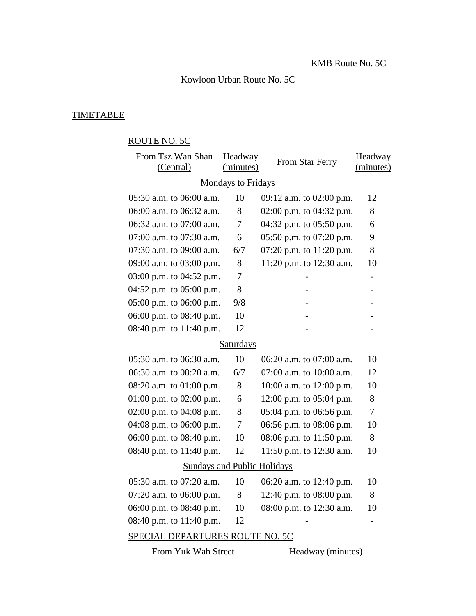Kowloon Urban Route No. 5C

## **TIMETABLE**

## ROUTE NO. 5C

| From Tsz Wan Shan                  | Headway        | From Star Ferry            | Headway                  |  |  |
|------------------------------------|----------------|----------------------------|--------------------------|--|--|
| (Central)                          | (minutes)      |                            | (minutes)                |  |  |
| <b>Mondays to Fridays</b>          |                |                            |                          |  |  |
| 05:30 a.m. to 06:00 a.m.           | 10             | 09:12 a.m. to 02:00 p.m.   | 12                       |  |  |
| 06:00 a.m. to 06:32 a.m.           | 8              | 02:00 p.m. to $04:32$ p.m. | 8                        |  |  |
| 06:32 a.m. to 07:00 a.m.           | 7              | 04:32 p.m. to $05:50$ p.m. | 6                        |  |  |
| 07:00 a.m. to 07:30 a.m.           | 6              | 05:50 p.m. to 07:20 p.m.   | 9                        |  |  |
| 07:30 a.m. to 09:00 a.m.           | 6/7            | 07:20 p.m. to 11:20 p.m.   | 8                        |  |  |
| 09:00 a.m. to 03:00 p.m.           | 8              | 11:20 p.m. to 12:30 a.m.   | 10                       |  |  |
| 03:00 p.m. to 04:52 p.m.           | 7              |                            |                          |  |  |
| 04:52 p.m. to 05:00 p.m.           | 8              |                            |                          |  |  |
| 05:00 p.m. to 06:00 p.m.           | 9/8            |                            |                          |  |  |
| 06:00 p.m. to 08:40 p.m.           | 10             |                            |                          |  |  |
| 08:40 p.m. to 11:40 p.m.           | 12             |                            |                          |  |  |
| <b>Saturdays</b>                   |                |                            |                          |  |  |
| 05:30 a.m. to 06:30 a.m.           | 10             | 06:20 a.m. to 07:00 a.m.   | 10                       |  |  |
| 06:30 a.m. to 08:20 a.m.           | 6/7            | 07:00 a.m. to 10:00 a.m.   | 12                       |  |  |
| 08:20 a.m. to $01:00$ p.m.         | 8              | 10:00 a.m. to $12:00$ p.m. | 10                       |  |  |
| 01:00 p.m. to 02:00 p.m.           | 6              | 12:00 p.m. to $05:04$ p.m. | 8                        |  |  |
| 02:00 p.m. to 04:08 p.m.           | 8              | 05:04 p.m. to 06:56 p.m.   | $\overline{\mathcal{L}}$ |  |  |
| 04:08 p.m. to 06:00 p.m.           | $\overline{7}$ | 06:56 p.m. to 08:06 p.m.   | 10                       |  |  |
| 06:00 p.m. to 08:40 p.m.           | 10             | 08:06 p.m. to $11:50$ p.m. | 8                        |  |  |
| 08:40 p.m. to 11:40 p.m.           | 12             | 11:50 p.m. to 12:30 a.m.   | 10                       |  |  |
| <b>Sundays and Public Holidays</b> |                |                            |                          |  |  |
| 05:30 a.m. to 07:20 a.m.           | 10             | 06:20 a.m. to 12:40 p.m.   | 10                       |  |  |
| 07:20 a.m. to $06:00$ p.m.         | 8              | 12:40 p.m. to $08:00$ p.m. | 8                        |  |  |
| 06:00 p.m. to 08:40 p.m.           | 10             | 08:00 p.m. to 12:30 a.m.   | 10                       |  |  |
| 08:40 p.m. to 11:40 p.m.           | 12             |                            |                          |  |  |
| SPECIAL DEPARTURES ROUTE NO. 5C    |                |                            |                          |  |  |
| From Yuk Wah Street                |                | Headway (minutes)          |                          |  |  |